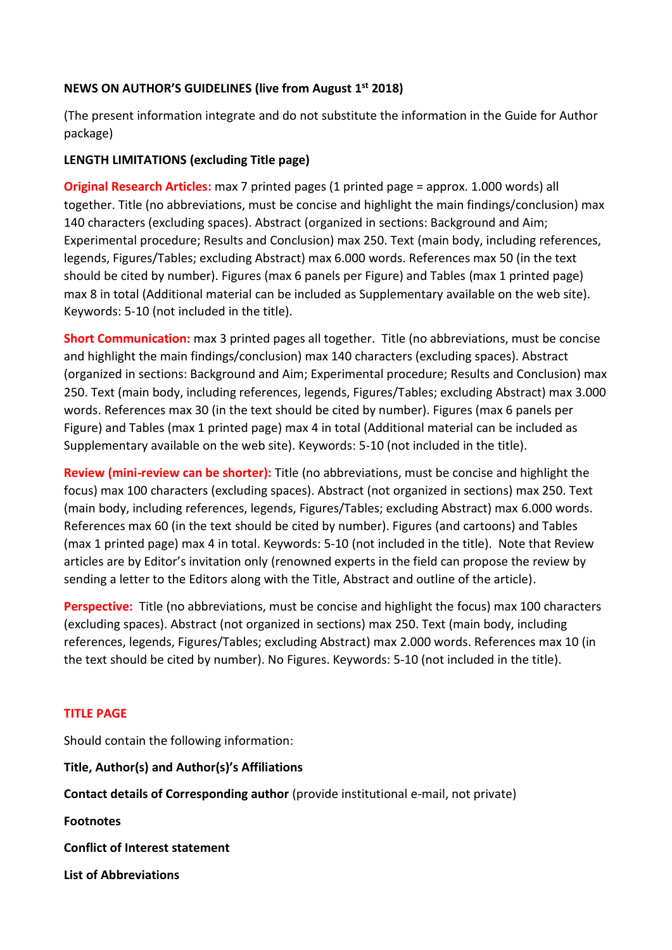### **NEWS ON AUTHOR'S GUIDELINES (live from August 1st 2018)**

(The present information integrate and do not substitute the information in the Guide for Author package)

### **LENGTH LIMITATIONS (excluding Title page)**

**Original Research Articles:** max 7 printed pages (1 printed page = approx. 1.000 words) all together. Title (no abbreviations, must be concise and highlight the main findings/conclusion) max 140 characters (excluding spaces). Abstract (organized in sections: Background and Aim; Experimental procedure; Results and Conclusion) max 250. Text (main body, including references, legends, Figures/Tables; excluding Abstract) max 6.000 words. References max 50 (in the text should be cited by number). Figures (max 6 panels per Figure) and Tables (max 1 printed page) max 8 in total (Additional material can be included as Supplementary available on the web site). Keywords: 5-10 (not included in the title).

**Short Communication:** max 3 printed pages all together. Title (no abbreviations, must be concise and highlight the main findings/conclusion) max 140 characters (excluding spaces). Abstract (organized in sections: Background and Aim; Experimental procedure; Results and Conclusion) max 250. Text (main body, including references, legends, Figures/Tables; excluding Abstract) max 3.000 words. References max 30 (in the text should be cited by number). Figures (max 6 panels per Figure) and Tables (max 1 printed page) max 4 in total (Additional material can be included as Supplementary available on the web site). Keywords: 5-10 (not included in the title).

**Review (mini-review can be shorter):** Title (no abbreviations, must be concise and highlight the focus) max 100 characters (excluding spaces). Abstract (not organized in sections) max 250. Text (main body, including references, legends, Figures/Tables; excluding Abstract) max 6.000 words. References max 60 (in the text should be cited by number). Figures (and cartoons) and Tables (max 1 printed page) max 4 in total. Keywords: 5-10 (not included in the title). Note that Review articles are by Editor's invitation only (renowned experts in the field can propose the review by sending a letter to the Editors along with the Title, Abstract and outline of the article).

**Perspective:** Title (no abbreviations, must be concise and highlight the focus) max 100 characters (excluding spaces). Abstract (not organized in sections) max 250. Text (main body, including references, legends, Figures/Tables; excluding Abstract) max 2.000 words. References max 10 (in the text should be cited by number). No Figures. Keywords: 5-10 (not included in the title).

# **TITLE PAGE**

Should contain the following information:

**Title, Author(s) and Author(s)'s Affiliations**

**Contact details of Corresponding author** (provide institutional e-mail, not private)

**Footnotes**

**Conflict of Interest statement**

**List of Abbreviations**